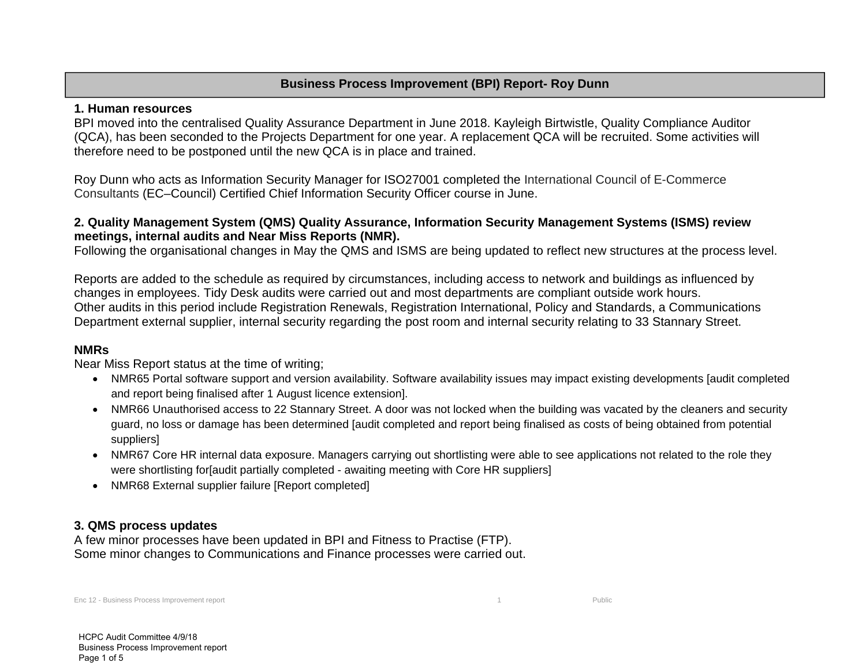## **Business Process Improvement (BPI) Report- Roy Dunn**

#### **1. Human resources**

BPI moved into the centralised Quality Assurance Department in June 2018. Kayleigh Birtwistle, Quality Compliance Auditor (QCA), has been seconded to the Projects Department for one year. A replacement QCA will be recruited. Some activities will therefore need to be postponed until the new QCA is in place and trained.

Roy Dunn who acts as Information Security Manager for ISO27001 completed the International Council of E-Commerce Consultants (EC–Council) Certified Chief Information Security Officer course in June.

## **2. Quality Management System (QMS) Quality Assurance, Information Security Management Systems (ISMS) review meetings, internal audits and Near Miss Reports (NMR).**

Following the organisational changes in May the QMS and ISMS are being updated to reflect new structures at the process level.

Reports are added to the schedule as required by circumstances, including access to network and buildings as influenced by changes in employees. Tidy Desk audits were carried out and most departments are compliant outside work hours. Other audits in this period include Registration Renewals, Registration International, Policy and Standards, a Communications Department external supplier, internal security regarding the post room and internal security relating to 33 Stannary Street.

#### **NMRs**

Near Miss Report status at the time of writing;

- NMR65 Portal software support and version availability. Software availability issues may impact existing developments [audit completed and report being finalised after 1 August licence extension].
- NMR66 Unauthorised access to 22 Stannary Street. A door was not locked when the building was vacated by the cleaners and security guard, no loss or damage has been determined [audit completed and report being finalised as costs of being obtained from potential suppliers]
- NMR67 Core HR internal data exposure. Managers carrying out shortlisting were able to see applications not related to the role they were shortlisting for[audit partially completed - awaiting meeting with Core HR suppliers]
- NMR68 External supplier failure [Report completed]

## **3. QMS process updates**

A few minor processes have been updated in BPI and Fitness to Practise (FTP). Some minor changes to Communications and Finance processes were carried out.

Enc 12 - Business Process Improvement report 1 Public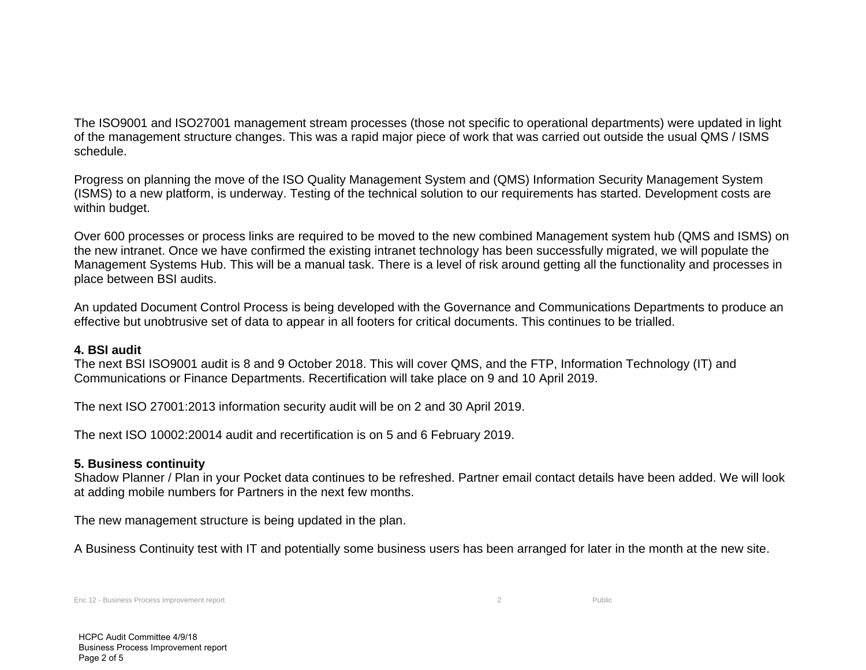The ISO9001 and ISO27001 management stream processes (those not specific to operational departments) were updated in light of the management structure changes. This was a rapid major piece of work that was carried out outside the usual QMS / ISMS schedule.

Progress on planning the move of the ISO Quality Management System and (QMS) Information Security Management System (ISMS) to a new platform, is underway. Testing of the technical solution to our requirements has started. Development costs are within budget.

Over 600 processes or process links are required to be moved to the new combined Management system hub (QMS and ISMS) on the new intranet. Once we have confirmed the existing intranet technology has been successfully migrated, we will populate the Management Systems Hub. This will be a manual task. There is a level of risk around getting all the functionality and processes in place between BSI audits.

An updated Document Control Process is being developed with the Governance and Communications Departments to produce an effective but unobtrusive set of data to appear in all footers for critical documents. This continues to be trialled.

#### **4. BSI audit**

The next BSI ISO9001 audit is 8 and 9 October 2018. This will cover QMS, and the FTP, Information Technology (IT) and Communications or Finance Departments. Recertification will take place on 9 and 10 April 2019.

The next ISO 27001:2013 information security audit will be on 2 and 30 April 2019.

The next ISO 10002:20014 audit and recertification is on 5 and 6 February 2019.

## **5. Business continuity**

Shadow Planner / Plan in your Pocket data continues to be refreshed. Partner email contact details have been added. We will look at adding mobile numbers for Partners in the next few months.

The new management structure is being updated in the plan.

A Business Continuity test with IT and potentially some business users has been arranged for later in the month at the new site.

Enc 12 - Business Process Improvement report 2 Public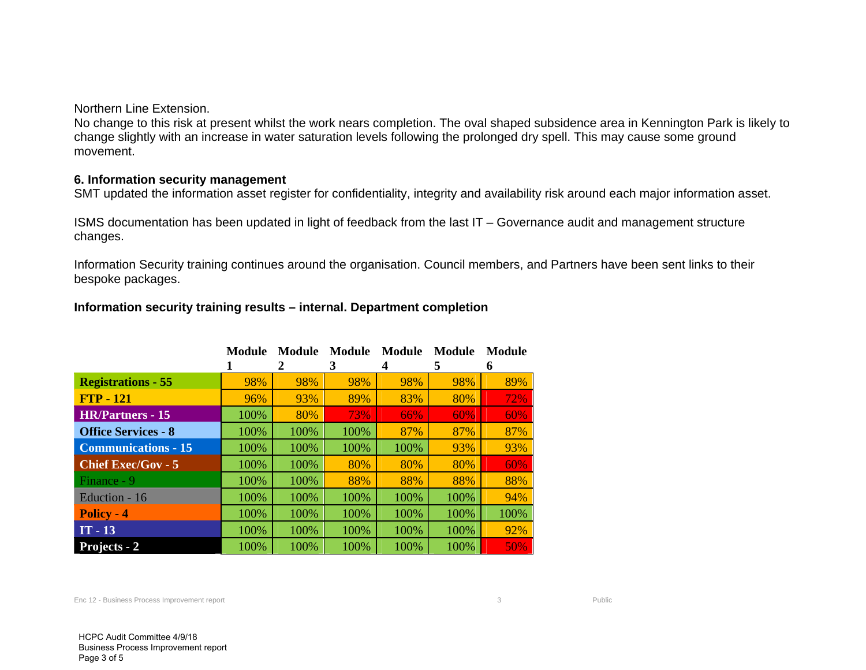Northern Line Extension.

No change to this risk at present whilst the work nears completion. The oval shaped subsidence area in Kennington Park is likely to change slightly with an increase in water saturation levels following the prolonged dry spell. This may cause some ground movement.

#### **6. Information security management**

SMT updated the information asset register for confidentiality, integrity and availability risk around each major information asset.

ISMS documentation has been updated in light of feedback from the last IT – Governance audit and management structure changes.

Information Security training continues around the organisation. Council members, and Partners have been sent links to their bespoke packages.

### **Information security training results – internal. Department completion**

|                            | <b>Module</b> | Module<br>2 | <b>Module</b><br>3 | Module<br>4 | Module<br>5 | Module<br>6 |
|----------------------------|---------------|-------------|--------------------|-------------|-------------|-------------|
| <b>Registrations - 55</b>  | 98%           | 98%         | 98%                | 98%         | 98%         | 89%         |
| $FTP - 121$                | 96%           | 93%         | 89%                | 83%         | 80%         | 72%         |
| <b>HR/Partners - 15</b>    | 100%          | 80%         | 73%                | 66%         | 60%         | 60%         |
| <b>Office Services - 8</b> | 100%          | 100%        | 100%               | 87%         | 87%         | 87%         |
| <b>Communications - 15</b> | 100%          | 100%        | 100%               | 100%        | 93%         | 93%         |
| <b>Chief Exec/Gov - 5</b>  | 100%          | 100%        | 80%                | 80%         | 80%         | 60%         |
| Finance - 9                | 100%          | 100%        | 88%                | 88%         | 88%         | 88%         |
| Eduction - 16              | 100%          | 100%        | 100%               | 100%        | 100%        | 94%         |
| <b>Policy - 4</b>          | 100%          | 100%        | 100%               | 100%        | 100%        | 100%        |
| $IT - 13$                  | 100%          | 100%        | 100%               | 100%        | 100%        | 92%         |
| <b>Projects - 2</b>        | 100%          | 100%        | 100%               | 100%        | 100%        | 50%         |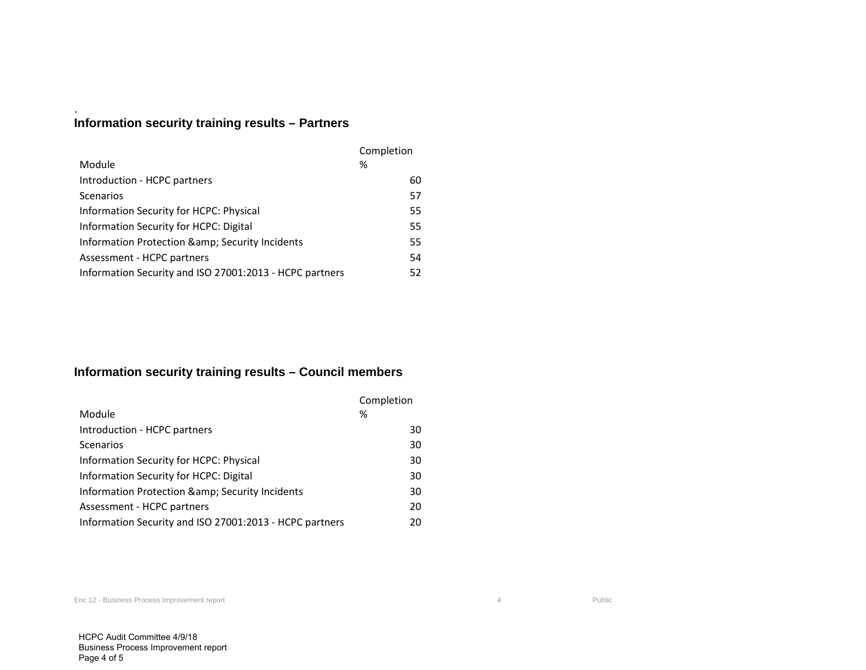# **Information security training results – Partners**

.

|                                                         | Completion |  |
|---------------------------------------------------------|------------|--|
| Module                                                  | ℅          |  |
| Introduction - HCPC partners                            | 60         |  |
| Scenarios                                               | 57         |  |
| Information Security for HCPC: Physical                 | 55         |  |
| Information Security for HCPC: Digital                  | 55         |  |
| Information Protection & amp; Security Incidents        | 55         |  |
| Assessment - HCPC partners                              | 54         |  |
| Information Security and ISO 27001:2013 - HCPC partners | 52         |  |

## **Information security training results – Council members**

|                                                         | Completion |  |
|---------------------------------------------------------|------------|--|
| Module                                                  | %          |  |
| Introduction - HCPC partners                            | 30         |  |
| Scenarios                                               | 30         |  |
| Information Security for HCPC: Physical                 | 30         |  |
| Information Security for HCPC: Digital                  | 30         |  |
| Information Protection & amp; Security Incidents        | 30         |  |
| Assessment - HCPC partners                              | 20         |  |
| Information Security and ISO 27001:2013 - HCPC partners | 20         |  |